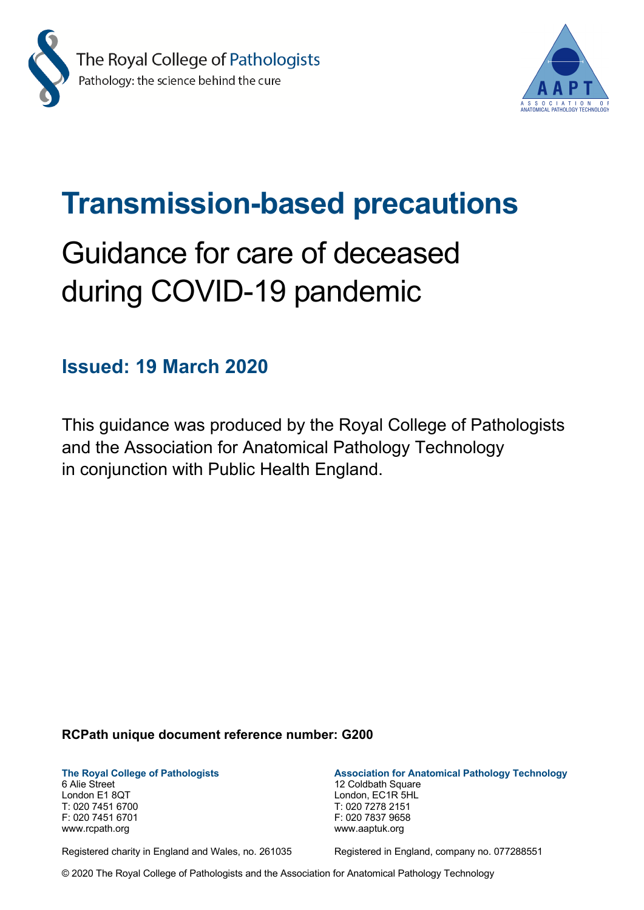



## **Transmission-based precautions**

# Guidance for care of deceased during COVID-19 pandemic

## **Issued: 19 March 2020**

This guidance was produced by the Royal College of Pathologists and the Association for Anatomical Pathology Technology in conjunction with Public Health England.

#### **RCPath unique document reference number: G200**

6 Alie Street 12 Coldbath Square London E1 8QT London, EC1R 5HL T: 020 7451 6700 T: 020 7278 2151 F: 020 7451 6701 F: 020 7837 9658 www.rcpath.org www.aaptuk.org

**The Royal College of Pathologists Association for Anatomical Pathology Technology**

Registered charity in England and Wales, no. 261035 Registered in England, company no. 077288551

© 2020 The Royal College of Pathologists and the Association for Anatomical Pathology Technology